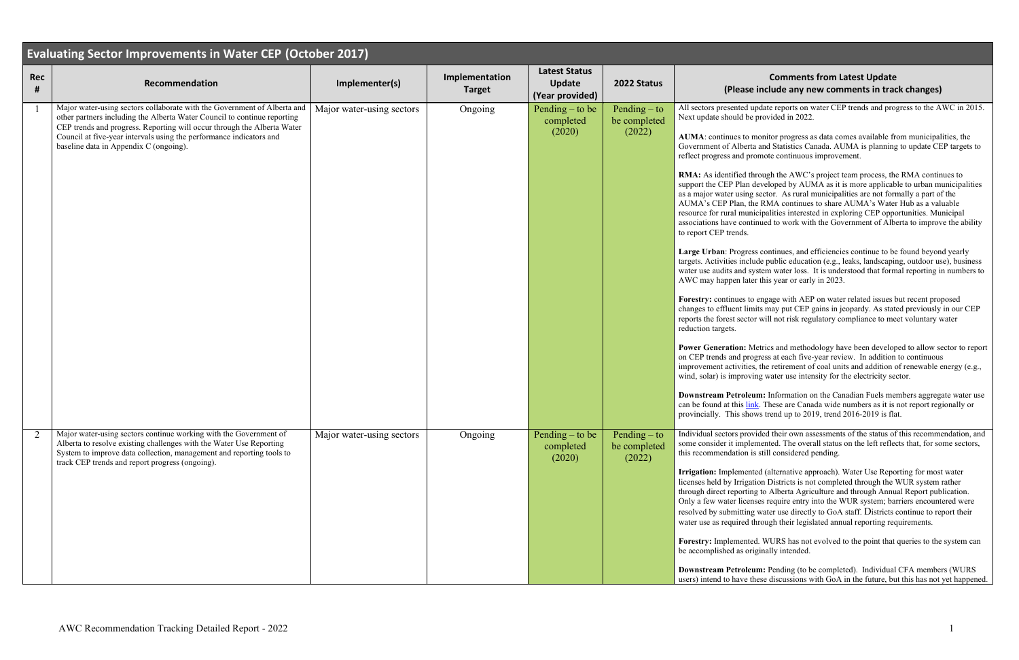## **Comments from Latest Update (Bleave include any new comments in track changes)**

update reports on water CEP trends and progress to the AWC in 2015. e provided in 2022.

monitor progress as data comes available from municipalities, the ta and Statistics Canada. AUMA is planning to update CEP targets to romote continuous improvement.

through the AWC's project team process, the RMA continues to developed by AUMA as it is more applicable to urban municipalities g sector. As rural municipalities are not formally a part of the the RMA continues to share AUMA's Water Hub as a valuable nicipalities interested in exploring CEP opportunities. Municipal associations have continued to work with the Government of Alberta to improve the ability

ess continues, and efficiencies continue to be found beyond yearly lude public education (e.g., leaks, landscaping, outdoor use), business system water loss. It is understood that formal reporting in numbers to ter this year or early in 2023.

to engage with AEP on water related issues but recent proposed mits may put CEP gains in jeopardy. As stated previously in our CEP for will not risk regulatory compliance to meet voluntary water

Metrics and methodology have been developed to allow sector to report ogress at each five-year review. In addition to continuous es, the retirement of coal units and addition of renewable energy (e.g., ving water use intensity for the electricity sector.

**Property:** Information on the Canadian Fuels members aggregate water use ink. These are Canada wide numbers as it is not report regionally or ows trend up to 2019, trend 2016-2019 is flat.

byided their own assessments of the status of this recommendation, and lemented. The overall status on the left reflects that, for some sectors, is still considered pending.

Irrigation: *I* Interative approach). Water Use Reporting for most water ation Districts is not completed through the WUR system rather ng to Alberta Agriculture and through Annual Report publication. nses require entry into the WUR system; barriers encountered were ig water use directly to GoA staff. Districts continue to report their through their legislated annual reporting requirements.

| <b>Evaluating Sector Improvements in Water CEP (October 2017)</b> |                                                                                                                                                                                                                                                                                                                                                  |                           |                                 |                                                          |                                          |                                                                                                                                                                                                                                                                                                                                                                                                                                                                                                                                                                                                                                                                                                            |  |  |  |  |
|-------------------------------------------------------------------|--------------------------------------------------------------------------------------------------------------------------------------------------------------------------------------------------------------------------------------------------------------------------------------------------------------------------------------------------|---------------------------|---------------------------------|----------------------------------------------------------|------------------------------------------|------------------------------------------------------------------------------------------------------------------------------------------------------------------------------------------------------------------------------------------------------------------------------------------------------------------------------------------------------------------------------------------------------------------------------------------------------------------------------------------------------------------------------------------------------------------------------------------------------------------------------------------------------------------------------------------------------------|--|--|--|--|
| <b>Rec</b><br>#                                                   | Recommendation                                                                                                                                                                                                                                                                                                                                   | Implementer(s)            | Implementation<br><b>Target</b> | <b>Latest Status</b><br><b>Update</b><br>(Year provided) | 2022 Status                              | (Please                                                                                                                                                                                                                                                                                                                                                                                                                                                                                                                                                                                                                                                                                                    |  |  |  |  |
|                                                                   | Major water-using sectors collaborate with the Government of Alberta and<br>other partners including the Alberta Water Council to continue reporting<br>CEP trends and progress. Reporting will occur through the Alberta Water<br>Council at five-year intervals using the performance indicators and<br>baseline data in Appendix C (ongoing). | Major water-using sectors | Ongoing                         | Pending $-$ to be<br>completed<br>(2020)                 | Pending $-$ to<br>be completed<br>(2022) | All sectors presented<br>Next update should be<br>AUMA: continues to<br>Government of Albert<br>reflect progress and pi<br>RMA: As identified t<br>support the CEP Plan<br>as a major water using<br>AUMA's CEP Plan, tl<br>resource for rural mur<br>associations have con<br>to report CEP trends.<br>Large Urban: Progre<br>targets. Activities incl<br>water use audits and s<br>AWC may happen lat<br>Forestry: continues to<br>changes to effluent lin<br>reports the forest secto<br>reduction targets.<br><b>Power Generation: N</b><br>on CEP trends and pro<br>improvement activitie<br>wind, solar) is improv<br><b>Downstream Petrole</b><br>can be found at this li<br>provincially. This sho |  |  |  |  |
| $\overline{2}$                                                    | Major water-using sectors continue working with the Government of<br>Alberta to resolve existing challenges with the Water Use Reporting<br>System to improve data collection, management and reporting tools to<br>track CEP trends and report progress (ongoing).                                                                              | Major water-using sectors | Ongoing                         | Pending $-$ to be<br>completed<br>(2020)                 | Pending $-$ to<br>be completed<br>(2022) | Individual sectors pro<br>some consider it imple<br>this recommendation<br>Irrigation: Implemen<br>licenses held by Irriga<br>through direct reportin<br>Only a few water licer<br>resolved by submitting<br>water use as required<br>Forestry: Implement<br>be accomplished as or<br><b>Downstream Petrole</b><br>users) intend to have t                                                                                                                                                                                                                                                                                                                                                                 |  |  |  |  |

**Forestry:** Implemented. WURS has not evolved to the point that queries to the system can riginally intended.

Pending (to be completed). Individual CFA members (WURS these discussions with GoA in the future, but this has not yet happened.